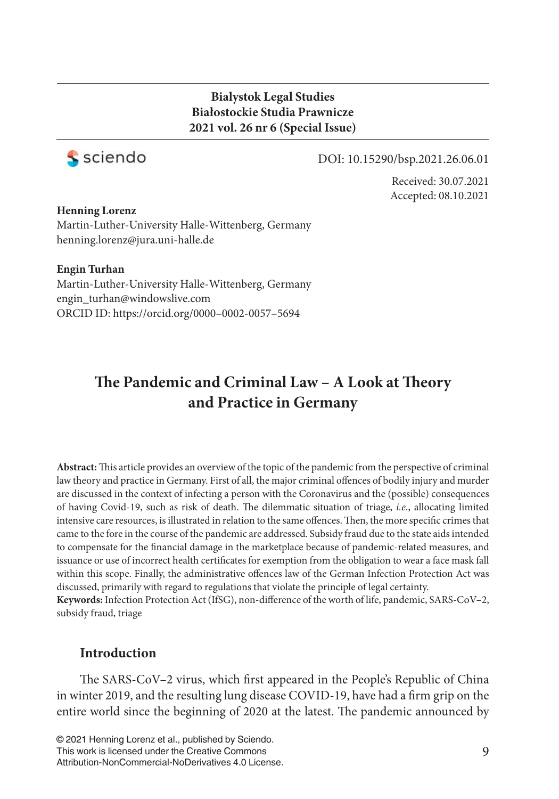### **Bialystok Legal Studies Białostockie Studia Prawnicze 2021 vol. 26 nr 6 (Special Issue)**



#### DOI: 10.15290/bsp.2021.26.06.01

Received: 30.07.2021 Accepted: 08.10.2021

#### **Henning Lorenz**

Martin-Luther-University Halle-Wittenberg, Germany henning.lorenz@jura.uni-halle.de

#### **Engin Turhan**

Martin-Luther-University Halle-Wittenberg, Germany engin\_turhan@windowslive.com ORCID ID: https://orcid.org/0000–0002-0057–5694

# The Pandemic and Criminal Law - A Look at Theory **and Practice in Germany**

Abstract: This article provides an overview of the topic of the pandemic from the perspective of criminal law theory and practice in Germany. First of all, the major criminal offences of bodily injury and murder are discussed in the context of infecting a person with the Coronavirus and the (possible) consequences of having Covid-19, such as risk of death. The dilemmatic situation of triage, *i.e.*, allocating limited intensive care resources, is illustrated in relation to the same offences. Then, the more specific crimes that came to the fore in the course of the pandemic are addressed. Subsidy fraud due to the state aids intended to compensate for the financial damage in the marketplace because of pandemic-related measures, and issuance or use of incorrect health certificates for exemption from the obligation to wear a face mask fall within this scope. Finally, the administrative offences law of the German Infection Protection Act was discussed, primarily with regard to regulations that violate the principle of legal certainty. Keywords: Infection Protection Act (IfSG), non-difference of the worth of life, pandemic, SARS-CoV-2,

subsidy fraud, triage

### **Introduction**

The SARS-CoV–2 virus, which first appeared in the People's Republic of China in winter 2019, and the resulting lung disease COVID-19, have had a firm grip on the entire world since the beginning of 2020 at the latest. The pandemic announced by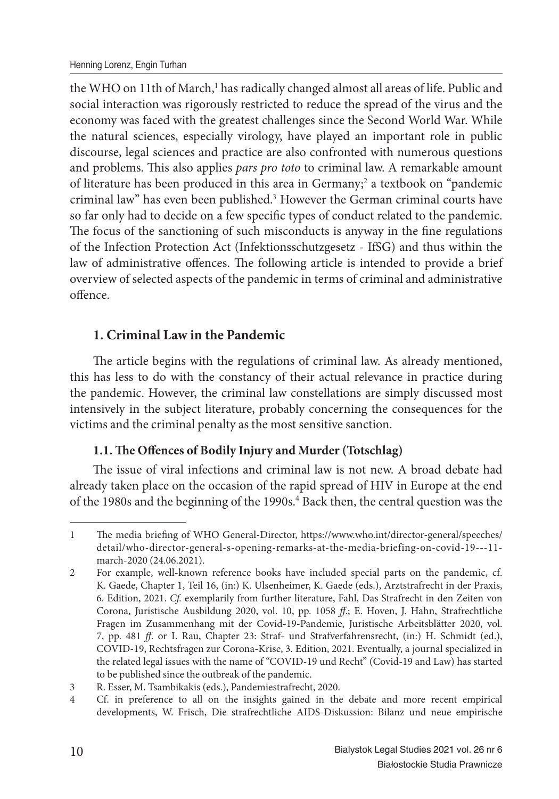the WHO on 11th of March,<sup>1</sup> has radically changed almost all areas of life. Public and social interaction was rigorously restricted to reduce the spread of the virus and the economy was faced with the greatest challenges since the Second World War. While the natural sciences, especially virology, have played an important role in public discourse, legal sciences and practice are also confronted with numerous questions and problems. This also applies *pars pro toto* to criminal law. A remarkable amount of literature has been produced in this area in Germany;<sup>2</sup> a textbook on "pandemic criminal law" has even been published.<sup>3</sup> However the German criminal courts have so far only had to decide on a few specific types of conduct related to the pandemic. The focus of the sanctioning of such misconducts is anyway in the fine regulations of the Infection Protection Act (Infektionsschutzgesetz - IfSG) and thus within the law of administrative offences. The following article is intended to provide a brief overview of selected aspects of the pandemic in terms of criminal and administrative offence.

# **1. Criminal Law in the Pandemic**

The article begins with the regulations of criminal law. As already mentioned, this has less to do with the constancy of their actual relevance in practice during the pandemic. However, the criminal law constellations are simply discussed most intensively in the subject literature, probably concerning the consequences for the victims and the criminal penalty as the most sensitive sanction.

# 1.1. The Offences of Bodily Injury and Murder (Totschlag)

The issue of viral infections and criminal law is not new. A broad debate had already taken place on the occasion of the rapid spread of HIV in Europe at the end of the 1980s and the beginning of the 1990s.<sup>4</sup> Back then, the central question was the

<sup>1</sup> The media briefing of WHO General-Director, https://www.who.int/director-general/speeches/ detail/who-director-general-s-opening-remarks-at-the-media-briefing-on-covid-19---11 march-2020 (24.06.2021).

<sup>2</sup> For example, well-known reference books have included special parts on the pandemic, cf. K. Gaede, Chapter 1, Teil 16, (in:) K. Ulsenheimer, K. Gaede (eds.), Arztstrafrecht in der Praxis, 6. Edition, 2021. *Cf.* exemplarily from further literature, Fahl, Das Strafrecht in den Zeiten von Corona, Juristische Ausbildung 2020, vol. 10, pp. 1058 *ff*.; E. Hoven, J. Hahn, Strafrechtliche Fragen im Zusammenhang mit der Covid-19-Pandemie, Juristische Arbeitsblätter 2020, vol. 7, pp. 481 *ff*. or I. Rau, Chapter 23: Straf- und Strafverfahrensrecht, (in:) H. Schmidt (ed.), COVID-19, Rechtsfragen zur Corona-Krise, 3. Edition, 2021. Eventually, a journal specialized in the related legal issues with the name of "COVID-19 und Recht" (Covid-19 and Law) has started to be published since the outbreak of the pandemic.

<sup>3</sup> R. Esser, M. Tsambikakis (eds.), Pandemiestrafrecht, 2020.

<sup>4</sup> Cf. in preference to all on the insights gained in the debate and more recent empirical developments, W. Frisch, Die strafrechtliche AIDS-Diskussion: Bilanz und neue empirische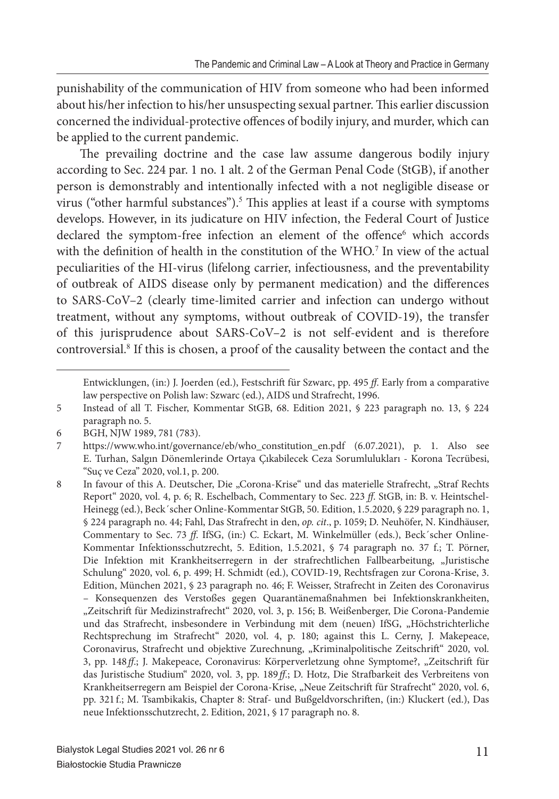punishability of the communication of HIV from someone who had been informed about his/her infection to his/her unsuspecting sexual partner. This earlier discussion concerned the individual-protective offences of bodily injury, and murder, which can be applied to the current pandemic.

The prevailing doctrine and the case law assume dangerous bodily injury according to Sec. 224 par. 1 no. 1 alt. 2 of the German Penal Code (StGB), if another person is demonstrably and intentionally infected with a not negligible disease or virus ("other harmful substances").<sup>5</sup> This applies at least if a course with symptoms develops. However, in its judicature on HIV infection, the Federal Court of Justice declared the symptom-free infection an element of the offence<sup>6</sup> which accords with the definition of health in the constitution of the WHO.<sup>7</sup> In view of the actual peculiarities of the HI-virus (lifelong carrier, infectiousness, and the preventability of outbreak of AIDS disease only by permanent medication) and the differences to SARS-CoV–2 (clearly time-limited carrier and infection can undergo without treatment, without any symptoms, without outbreak of COVID-19), the transfer of this jurisprudence about SARS-CoV–2 is not self-evident and is therefore controversial.<sup>8</sup> If this is chosen, a proof of the causality between the contact and the

Entwicklungen, (in:) J. Joerden (ed.), Festschrift für Szwarc, pp. 495 *ff*. Early from a comparative law perspective on Polish law: Szwarc (ed.), AIDS und Strafrecht, 1996.

<sup>5</sup> Instead of all T. Fischer, Kommentar StGB, 68. Edition 2021, § 223 paragraph no. 13, § 224 paragraph no. 5.

<sup>6</sup> BGH, NJW 1989, 781 (783).

<sup>7</sup> https://www.who.int/governance/eb/who\_constitution\_en.pdf (6.07.2021), p. 1. Also see E. Turhan, Salgın Dönemlerinde Ortaya Çıkabilecek Ceza Sorumlulukları - Korona Tecrübesi, "Suç ve Ceza" 2020, vol.1, p. 200.

<sup>8</sup> In favour of this A. Deutscher, Die "Corona-Krise" und das materielle Strafrecht, "Straf Rechts Report" 2020, vol. 4, p. 6; R. Eschelbach, Commentary to Sec. 223 *ff*. StGB, in: B. v. Heintschel-Heinegg (ed.), Beck´scher Online-Kommentar StGB, 50. Edition, 1.5.2020, § 229 paragraph no. 1, § 224 paragraph no. 44; Fahl, Das Strafrecht in den, *op. cit*., p. 1059; D. Neuhöfer, N. Kindhäuser, Commentary to Sec. 73 *ff*. IfSG, (in:) C. Eckart, M. Winkelmüller (eds.), Beck´scher Online-Kommentar Infektionsschutzrecht, 5. Edition, 1.5.2021, § 74 paragraph no. 37 f.; T. Pörner, Die Infektion mit Krankheitserregern in der strafrechtlichen Fallbearbeitung, "Juristische Schulung" 2020, vol. 6, p. 499; H. Schmidt (ed.), COVID-19, Rechtsfragen zur Corona-Krise, 3. Edition, München 2021, § 23 paragraph no. 46; F. Weisser, Strafrecht in Zeiten des Coronavirus – Konsequenzen des Verstoßes gegen Quarantänemaßnahmen bei Infektionskrankheiten, "Zeitschrift für Medizinstrafrecht" 2020, vol. 3, p. 156; B. Weißenberger, Die Corona-Pandemie und das Strafrecht, insbesondere in Verbindung mit dem (neuen) IfSG, "Höchstrichterliche Rechtsprechung im Strafrecht" 2020, vol. 4, p. 180; against this L. Cerny, J. Makepeace, Coronavirus, Strafrecht und objektive Zurechnung, "Kriminalpolitische Zeitschrift" 2020, vol. 3, pp. 148 ff.; J. Makepeace, Coronavirus: Körperverletzung ohne Symptome?, "Zeitschrift für das Juristische Studium" 2020, vol. 3, pp. 189 *ff*.; D. Hotz, Die Strafbarkeit des Verbreitens von Krankheitserregern am Beispiel der Corona-Krise, "Neue Zeitschrift für Strafrecht" 2020, vol. 6, pp. 321 f.; M. Tsambikakis, Chapter 8: Straf- und Bußgeldvorschriften, (in:) Kluckert (ed.), Das neue Infektionsschutzrecht, 2. Edition, 2021, § 17 paragraph no. 8.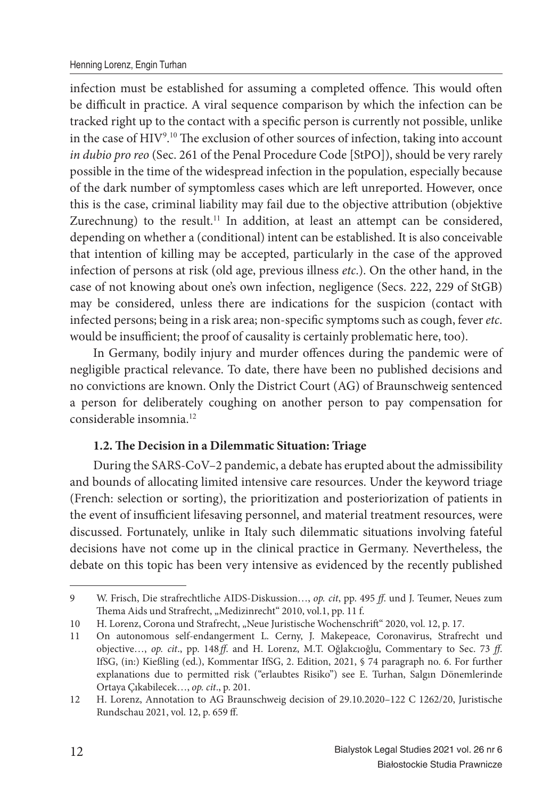infection must be established for assuming a completed offence. This would often be difficult in practice. A viral sequence comparison by which the infection can be tracked right up to the contact with a specific person is currently not possible, unlike in the case of HIV<sup>9</sup>.<sup>10</sup> The exclusion of other sources of infection, taking into account *in dubio pro reo* (Sec. 261 of the Penal Procedure Code [StPO]), should be very rarely possible in the time of the widespread infection in the population, especially because of the dark number of symptomless cases which are left unreported. However, once this is the case, criminal liability may fail due to the objective attribution (objektive Zurechnung) to the result.<sup>11</sup> In addition, at least an attempt can be considered, depending on whether a (conditional) intent can be established. It is also conceivable that intention of killing may be accepted, particularly in the case of the approved infection of persons at risk (old age, previous illness *etc*.). On the other hand, in the case of not knowing about one's own infection, negligence (Secs. 222, 229 of StGB) may be considered, unless there are indications for the suspicion (contact with infected persons; being in a risk area; non-specific symptoms such as cough, fever *etc*. would be insufficient; the proof of causality is certainly problematic here, too).

In Germany, bodily injury and murder offences during the pandemic were of negligible practical relevance. To date, there have been no published decisions and no convictions are known. Only the District Court (AG) of Braunschweig sentenced a person for deliberately coughing on another person to pay compensation for considerable insomnia<sup>12</sup>

### 1.2. The Decision in a Dilemmatic Situation: Triage

During the SARS-CoV–2 pandemic, a debate has erupted about the admissibility and bounds of allocating limited intensive care resources. Under the keyword triage (French: selection or sorting), the prioritization and posteriorization of patients in the event of insufficient lifesaving personnel, and material treatment resources, were discussed. Fortunately, unlike in Italy such dilemmatic situations involving fateful decisions have not come up in the clinical practice in Germany. Nevertheless, the debate on this topic has been very intensive as evidenced by the recently published

<sup>9</sup> W. Frisch, Die strafrechtliche AIDS-Diskussion…, *op. cit*, pp. 495 *ff*. und J. Teumer, Neues zum Thema Aids und Strafrecht, "Medizinrecht" 2010, vol.1, pp. 11 f.

<sup>10</sup> H. Lorenz, Corona und Strafrecht, "Neue Juristische Wochenschrift" 2020, vol. 12, p. 17.

<sup>11</sup> On autonomous self-endangerment L. Cerny, J. Makepeace, Coronavirus, Strafrecht und objective…, *op. cit*., pp. 148 *ff*. and H. Lorenz, M.T. Oğlakcıoğlu, Commentary to Sec. 73 *ff*. IfSG, (in:) Kießling (ed.), Kommentar IfSG, 2. Edition, 2021, § 74 paragraph no. 6. For further explanations due to permitted risk ("erlaubtes Risiko") see E. Turhan, Salgın Dönemlerinde Ortaya Çıkabilecek…, *op. cit*., p. 201.

<sup>12</sup> H. Lorenz, Annotation to AG Braunschweig decision of 29.10.2020–122 C 1262/20, Juristische Rundschau 2021, vol. 12, p. 659 ff.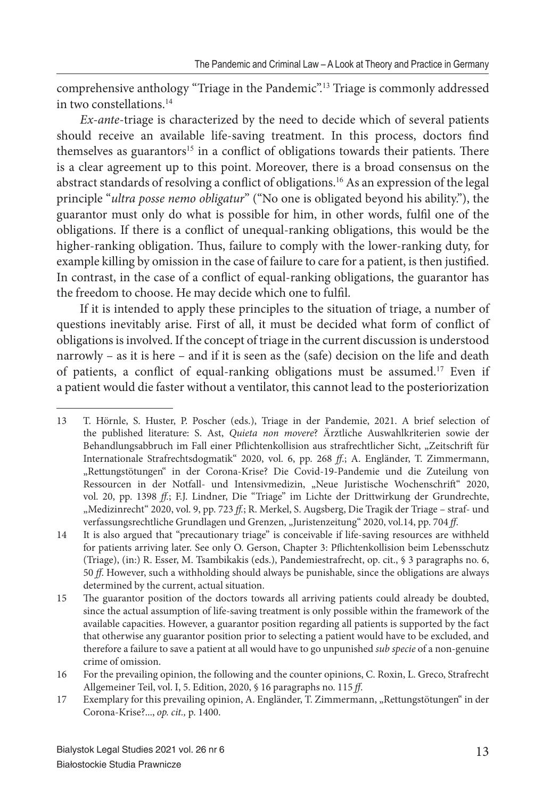comprehensive anthology "Triage in the Pandemic".<sup>13</sup> Triage is commonly addressed in two constellations.<sup>14</sup>

*Ex-ante*-triage is characterized by the need to decide which of several patients should receive an available life-saving treatment. In this process, doctors find themselves as guarantors<sup>15</sup> in a conflict of obligations towards their patients. There is a clear agreement up to this point. Moreover, there is a broad consensus on the abstract standards of resolving a conflict of obligations.<sup>16</sup> As an expression of the legal principle "*ultra posse nemo obligatur*" ("No one is obligated beyond his ability."), the guarantor must only do what is possible for him, in other words, fulfil one of the obligations. If there is a conflict of unequal-ranking obligations, this would be the higher-ranking obligation. Thus, failure to comply with the lower-ranking duty, for example killing by omission in the case of failure to care for a patient, is then justified. In contrast, in the case of a conflict of equal-ranking obligations, the guarantor has the freedom to choose. He may decide which one to fulfil.

If it is intended to apply these principles to the situation of triage, a number of questions inevitably arise. First of all, it must be decided what form of conflict of obligations is involved. If the concept of triage in the current discussion is understood narrowly – as it is here – and if it is seen as the (safe) decision on the life and death of patients, a conflict of equal-ranking obligations must be assumed.<sup>17</sup> Even if a patient would die faster without a ventilator, this cannot lead to the posteriorization

<sup>13</sup> T. Hörnle, S. Huster, P. Poscher (eds.), Triage in der Pandemie, 2021. A brief selection of the published literature: S. Ast, *Quieta non movere*? Ärztliche Auswahlkriterien sowie der Behandlungsabbruch im Fall einer Pflichtenkollision aus strafrechtlicher Sicht, "Zeitschrift für Internationale Strafrechtsdogmatik" 2020, vol. 6, pp. 268 *ff*.; A. Engländer, T. Zimmermann, "Rettungstötungen" in der Corona-Krise? Die Covid-19-Pandemie und die Zuteilung von Ressourcen in der Notfall- und Intensivmedizin, "Neue Juristische Wochenschrift" 2020, vol. 20, pp. 1398 *ff.*; F.J. Lindner, Die "Triage" im Lichte der Drittwirkung der Grundrechte, "Medizinrecht" 2020, vol. 9, pp. 723 ff.; R. Merkel, S. Augsberg, Die Tragik der Triage - straf- und verfassungsrechtliche Grundlagen und Grenzen, "Juristenzeitung" 2020, vol.14, pp. 704 ff.

<sup>14</sup> It is also argued that "precautionary triage" is conceivable if life-saving resources are withheld for patients arriving later. See only O. Gerson, Chapter 3: Pflichtenkollision beim Lebensschutz (Triage), (in:) R. Esser, M. Tsambikakis (eds.), Pandemiestrafrecht, op. cit., § 3 paragraphs no. 6, 50 *ff*. However, such a withholding should always be punishable, since the obligations are always determined by the current, actual situation.

<sup>15</sup> The guarantor position of the doctors towards all arriving patients could already be doubted, since the actual assumption of life-saving treatment is only possible within the framework of the available capacities. However, a guarantor position regarding all patients is supported by the fact that otherwise any guarantor position prior to selecting a patient would have to be excluded, and therefore a failure to save a patient at all would have to go unpunished *sub specie* of a non-genuine crime of omission.

<sup>16</sup> For the prevailing opinion, the following and the counter opinions, C. Roxin, L. Greco, Strafrecht Allgemeiner Teil, vol. I, 5. Edition, 2020, § 16 paragraphs no. 115 *ff*.

<sup>17</sup> Exemplary for this prevailing opinion, A. Engländer, T. Zimmermann, "Rettungstötungen" in der Corona-Krise?..., *op. cit.,* p. 1400.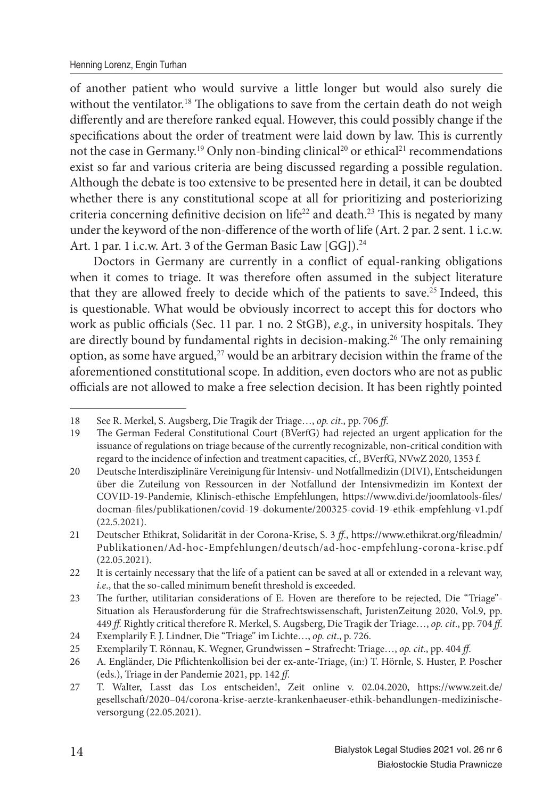of another patient who would survive a little longer but would also surely die without the ventilator.<sup>18</sup> The obligations to save from the certain death do not weigh differently and are therefore ranked equal. However, this could possibly change if the specifications about the order of treatment were laid down by law. This is currently not the case in Germany.<sup>19</sup> Only non-binding clinical<sup>20</sup> or ethical<sup>21</sup> recommendations exist so far and various criteria are being discussed regarding a possible regulation. Although the debate is too extensive to be presented here in detail, it can be doubted whether there is any constitutional scope at all for prioritizing and posteriorizing criteria concerning definitive decision on life<sup>22</sup> and death.<sup>23</sup> This is negated by many under the keyword of the non-difference of the worth of life (Art. 2 par. 2 sent. 1 i.c.w. Art. 1 par. 1 i.c.w. Art. 3 of the German Basic Law [GG]).<sup>24</sup>

Doctors in Germany are currently in a conflict of equal-ranking obligations when it comes to triage. It was therefore often assumed in the subject literature that they are allowed freely to decide which of the patients to save.<sup>25</sup> Indeed, this is questionable. What would be obviously incorrect to accept this for doctors who work as public officials (Sec. 11 par. 1 no. 2 StGB), *e.g.*, in university hospitals. They are directly bound by fundamental rights in decision-making.<sup>26</sup> The only remaining option, as some have argued, $27$  would be an arbitrary decision within the frame of the aforementioned constitutional scope. In addition, even doctors who are not as public officials are not allowed to make a free selection decision. It has been rightly pointed

<sup>18</sup> See R. Merkel, S. Augsberg, Die Tragik der Triage…, *op. cit*., pp. 706 *ff*.

<sup>19</sup> The German Federal Constitutional Court (BVerfG) had rejected an urgent application for the issuance of regulations on triage because of the currently recognizable, non-critical condition with regard to the incidence of infection and treatment capacities, cf., BVerfG, NVwZ 2020, 1353 f.

<sup>20</sup> Deutsche Interdisziplinäre Vereinigung für Intensiv- und Notfallmedizin (DIVI), Entscheidungen über die Zuteilung von Ressourcen in der Notfallund der Intensivmedizin im Kontext der COVID-19-Pandemie, Klinisch-ethische Empfehlungen, https://www.divi.de/joomlatools-files/ docman-fi les/publikationen/covid-19-dokumente/200325-covid-19-ethik-empfehlung-v1.pdf (22.5.2021).

<sup>21</sup> Deutscher Ethikrat, Solidarität in der Corona-Krise, S. 3 ff., https://www.ethikrat.org/fileadmin/ Publikationen/Ad-hoc-Empfehlungen/deutsch/ad-hoc-empfehlung-corona-krise.pdf (22.05.2021).

<sup>22</sup> It is certainly necessary that the life of a patient can be saved at all or extended in a relevant way, *i.e.*, that the so-called minimum benefit threshold is exceeded.

<sup>23</sup> The further, utilitarian considerations of E. Hoven are therefore to be rejected, Die "Triage"-Situation als Herausforderung für die Strafrechtswissenschaft, JuristenZeitung 2020, Vol.9, pp. 449 *ff .* Rightly critical therefore R. Merkel, S. Augsberg, Die Tragik der Triage…, *op. cit*., pp. 704 *ff*.

<sup>24</sup> Exemplarily F. J. Lindner, Die "Triage" im Lichte…, *op. cit*., p. 726.

<sup>25</sup> Exemplarily T. Rönnau, K. Wegner, Grundwissen – Strafrecht: Triage…, *op. cit*., pp. 404 *ff*.

<sup>26</sup> A. Engländer, Die Pflichtenkollision bei der ex-ante-Triage, (in:) T. Hörnle, S. Huster, P. Poscher (eds.), Triage in der Pandemie 2021, pp. 142 *ff*.

<sup>27</sup> T. Walter, Lasst das Los entscheiden!, Zeit online v. 02.04.2020, https://www.zeit.de/ gesellschaft /2020–04/corona-krise-aerzte-krankenhaeuser-ethik-behandlungen-medizinischeversorgung (22.05.2021).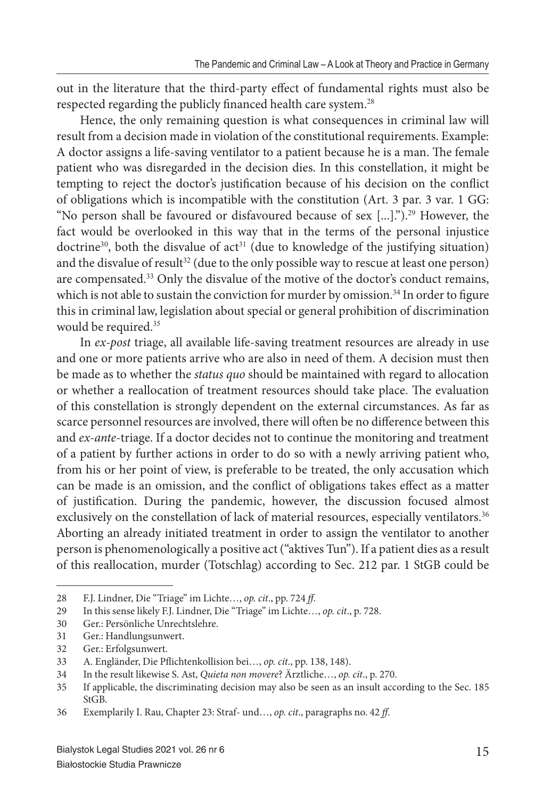out in the literature that the third-party effect of fundamental rights must also be respected regarding the publicly financed health care system.<sup>28</sup>

Hence, the only remaining question is what consequences in criminal law will result from a decision made in violation of the constitutional requirements. Example: A doctor assigns a life-saving ventilator to a patient because he is a man. The female patient who was disregarded in the decision dies. In this constellation, it might be tempting to reject the doctor's justification because of his decision on the conflict of obligations which is incompatible with the constitution (Art. 3 par. 3 var. 1 GG: "No person shall be favoured or disfavoured because of sex [...].").<sup>29</sup> However, the fact would be overlooked in this way that in the terms of the personal injustice doctrine<sup>30</sup>, both the disvalue of  $act<sup>31</sup>$  (due to knowledge of the justifying situation) and the disvalue of result<sup>32</sup> (due to the only possible way to rescue at least one person) are compensated.<sup>33</sup> Only the disvalue of the motive of the doctor's conduct remains, which is not able to sustain the conviction for murder by omission.<sup>34</sup> In order to figure this in criminal law, legislation about special or general prohibition of discrimination would be required.<sup>35</sup>

In *ex-post* triage, all available life-saving treatment resources are already in use and one or more patients arrive who are also in need of them. A decision must then be made as to whether the *status quo* should be maintained with regard to allocation or whether a reallocation of treatment resources should take place. The evaluation of this constellation is strongly dependent on the external circumstances. As far as scarce personnel resources are involved, there will often be no difference between this and *ex-ante*-triage. If a doctor decides not to continue the monitoring and treatment of a patient by further actions in order to do so with a newly arriving patient who, from his or her point of view, is preferable to be treated, the only accusation which can be made is an omission, and the conflict of obligations takes effect as a matter of justification. During the pandemic, however, the discussion focused almost exclusively on the constellation of lack of material resources, especially ventilators.<sup>36</sup> Aborting an already initiated treatment in order to assign the ventilator to another person is phenomenologically a positive act ("aktives Tun"). If a patient dies as a result of this reallocation, murder (Totschlag) according to Sec. 212 par. 1 StGB could be

<sup>28</sup> F.J. Lindner, Die "Triage" im Lichte…, *op. cit*., pp. 724 *ff*.

<sup>29</sup> In this sense likely F.J. Lindner, Die "Triage" im Lichte…, *op. cit*., p. 728.

<sup>30</sup> Ger.: Persönliche Unrechtslehre.

<sup>31</sup> Ger.: Handlungsunwert.

<sup>32</sup> Ger.: Erfolgsunwert.

<sup>33</sup> A. Engländer, Die Pflichtenkollision bei..., op. cit., pp. 138, 148).

<sup>34</sup> In the result likewise S. Ast, *Quieta non movere*? Ärztliche…, *op. cit*., p. 270.

<sup>35</sup> If applicable, the discriminating decision may also be seen as an insult according to the Sec. 185 StGB.

<sup>36</sup> Exemplarily I. Rau, Chapter 23: Straf- und…, *op. cit*., paragraphs no. 42 *ff*.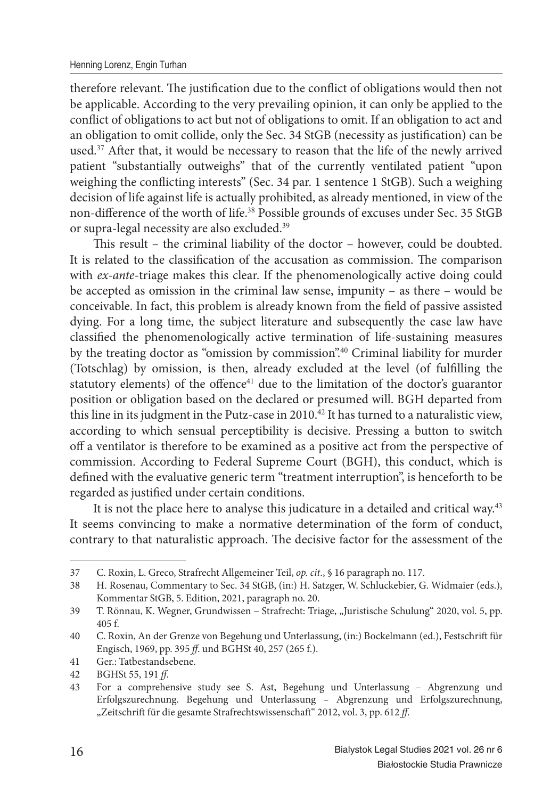therefore relevant. The justification due to the conflict of obligations would then not be applicable. According to the very prevailing opinion, it can only be applied to the conflict of obligations to act but not of obligations to omit. If an obligation to act and an obligation to omit collide, only the Sec. 34 StGB (necessity as justification) can be used.<sup>37</sup> After that, it would be necessary to reason that the life of the newly arrived patient "substantially outweighs" that of the currently ventilated patient "upon weighing the conflicting interests" (Sec. 34 par. 1 sentence 1 StGB). Such a weighing decision of life against life is actually prohibited, as already mentioned, in view of the non-difference of the worth of life.<sup>38</sup> Possible grounds of excuses under Sec. 35 StGB or supra-legal necessity are also excluded.<sup>39</sup>

This result – the criminal liability of the doctor – however, could be doubted. It is related to the classification of the accusation as commission. The comparison with *ex-ante*-triage makes this clear. If the phenomenologically active doing could be accepted as omission in the criminal law sense, impunity – as there – would be conceivable. In fact, this problem is already known from the field of passive assisted dying. For a long time, the subject literature and subsequently the case law have classified the phenomenologically active termination of life-sustaining measures by the treating doctor as "omission by commission".<sup>40</sup> Criminal liability for murder (Totschlag) by omission, is then, already excluded at the level (of fulfilling the statutory elements) of the offence<sup>41</sup> due to the limitation of the doctor's guarantor position or obligation based on the declared or presumed will. BGH departed from this line in its judgment in the Putz-case in  $2010<sup>42</sup>$  It has turned to a naturalistic view, according to which sensual perceptibility is decisive. Pressing a button to switch off a ventilator is therefore to be examined as a positive act from the perspective of commission. According to Federal Supreme Court (BGH), this conduct, which is defined with the evaluative generic term "treatment interruption", is henceforth to be regarded as justified under certain conditions.

It is not the place here to analyse this judicature in a detailed and critical way.<sup>43</sup> It seems convincing to make a normative determination of the form of conduct, contrary to that naturalistic approach. The decisive factor for the assessment of the

<sup>37</sup> C. Roxin, L. Greco, Strafrecht Allgemeiner Teil, *op. cit*., § 16 paragraph no. 117.

<sup>38</sup> H. Rosenau, Commentary to Sec. 34 StGB, (in:) H. Satzger, W. Schluckebier, G. Widmaier (eds.), Kommentar StGB, 5. Edition, 2021, paragraph no. 20.

<sup>39</sup> T. Rönnau, K. Wegner, Grundwissen - Strafrecht: Triage, "Juristische Schulung" 2020, vol. 5, pp. 405 f.

<sup>40</sup> C. Roxin, An der Grenze von Begehung und Unterlassung, (in:) Bockelmann (ed.), Festschrift für Engisch, 1969, pp. 395 *ff*. und BGHSt 40, 257 (265 f.).

<sup>41</sup> Ger.: Tatbestandsebene.

<sup>42</sup> BGHSt 55, 191 *ff*.

<sup>43</sup> For a comprehensive study see S. Ast, Begehung und Unterlassung – Abgrenzung und Erfolgszurechnung. Begehung und Unterlassung – Abgrenzung und Erfolgszurechnung, "Zeitschrift für die gesamte Strafrechtswissenschaft" 2012, vol. 3, pp. 612 ff.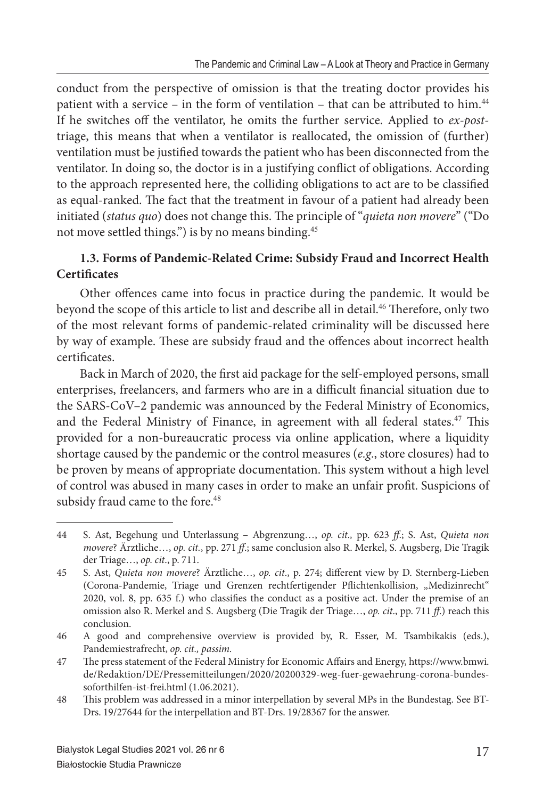conduct from the perspective of omission is that the treating doctor provides his patient with a service – in the form of ventilation – that can be attributed to him.<sup>44</sup> If he switches off the ventilator, he omits the further service. Applied to *ex-post*triage, this means that when a ventilator is reallocated, the omission of (further) ventilation must be justified towards the patient who has been disconnected from the ventilator. In doing so, the doctor is in a justifying conflict of obligations. According to the approach represented here, the colliding obligations to act are to be classified as equal-ranked. The fact that the treatment in favour of a patient had already been initiated (*status quo*) does not change this. The principle of "*quieta non movere*" ("Do not move settled things.") is by no means binding.<sup>45</sup>

# **1.3. Forms of Pandemic-Related Crime: Subsidy Fraud and Incorrect Health Certificates**

Other offences came into focus in practice during the pandemic. It would be beyond the scope of this article to list and describe all in detail.<sup>46</sup> Therefore, only two of the most relevant forms of pandemic-related criminality will be discussed here by way of example. These are subsidy fraud and the offences about incorrect health certificates.

Back in March of 2020, the first aid package for the self-employed persons, small enterprises, freelancers, and farmers who are in a difficult financial situation due to the SARS-CoV–2 pandemic was announced by the Federal Ministry of Economics, and the Federal Ministry of Finance, in agreement with all federal states.<sup>47</sup> This provided for a non-bureaucratic process via online application, where a liquidity shortage caused by the pandemic or the control measures (*e.g*., store closures) had to be proven by means of appropriate documentation. This system without a high level of control was abused in many cases in order to make an unfair profit. Suspicions of subsidy fraud came to the fore.<sup>48</sup>

<sup>44</sup> S. Ast, Begehung und Unterlassung – Abgrenzung…, *op. cit.,* pp. 623 *ff*.; S. Ast, *Quieta non movere*? Ärztliche…, *op. cit.*, pp. 271 *ff*.; same conclusion also R. Merkel, S. Augsberg, Die Tragik der Triage…, *op. cit*., p. 711.

<sup>45</sup> S. Ast, *Quieta non movere*? Ärztliche..., op. cit., p. 274; different view by D. Sternberg-Lieben (Corona-Pandemie, Triage und Grenzen rechtfertigender Pflichtenkollision, "Medizinrecht" 2020, vol. 8, pp. 635 f.) who classifies the conduct as a positive act. Under the premise of an omission also R. Merkel and S. Augsberg (Die Tragik der Triage…, *op. cit*., pp. 711 *ff*.) reach this conclusion.

<sup>46</sup> A good and comprehensive overview is provided by, R. Esser, M. Tsambikakis (eds.), Pandemiestrafrecht, *op. cit., passim.*

<sup>47</sup> The press statement of the Federal Ministry for Economic Affairs and Energy, https://www.bmwi. de/Redaktion/DE/Pressemitteilungen/2020/20200329-weg-fuer-gewaehrung-corona-bundessoforthilfen-ist-frei.html (1.06.2021).

<sup>48</sup> Th is problem was addressed in a minor interpellation by several MPs in the Bundestag. See BT-Drs. 19/27644 for the interpellation and BT-Drs. 19/28367 for the answer.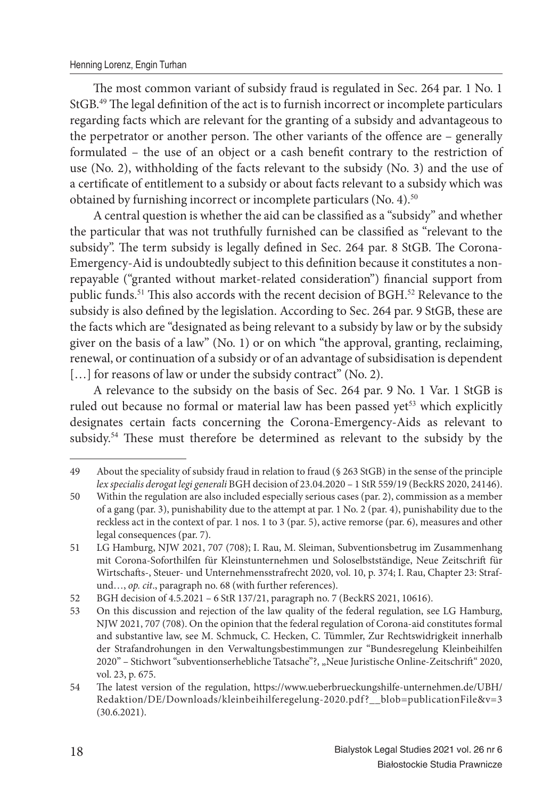The most common variant of subsidy fraud is regulated in Sec. 264 par. 1 No. 1 StGB.<sup>49</sup> The legal definition of the act is to furnish incorrect or incomplete particulars regarding facts which are relevant for the granting of a subsidy and advantageous to the perpetrator or another person. The other variants of the offence are – generally formulated – the use of an object or a cash benefit contrary to the restriction of use (No. 2), withholding of the facts relevant to the subsidy (No. 3) and the use of a certificate of entitlement to a subsidy or about facts relevant to a subsidy which was obtained by furnishing incorrect or incomplete particulars (No. 4).<sup>50</sup>

A central question is whether the aid can be classified as a "subsidy" and whether the particular that was not truthfully furnished can be classified as "relevant to the subsidy". The term subsidy is legally defined in Sec. 264 par. 8 StGB. The Corona-Emergency-Aid is undoubtedly subject to this definition because it constitutes a nonrepayable ("granted without market-related consideration") financial support from public funds.<sup>51</sup> This also accords with the recent decision of BGH.<sup>52</sup> Relevance to the subsidy is also defined by the legislation. According to Sec. 264 par. 9 StGB, these are the facts which are "designated as being relevant to a subsidy by law or by the subsidy giver on the basis of a law" (No. 1) or on which "the approval, granting, reclaiming, renewal, or continuation of a subsidy or of an advantage of subsidisation is dependent [...] for reasons of law or under the subsidy contract" (No. 2).

A relevance to the subsidy on the basis of Sec. 264 par. 9 No. 1 Var. 1 StGB is ruled out because no formal or material law has been passed yet<sup>53</sup> which explicitly designates certain facts concerning the Corona-Emergency-Aids as relevant to subsidy.<sup>54</sup> These must therefore be determined as relevant to the subsidy by the

<sup>49</sup> About the speciality of subsidy fraud in relation to fraud (§ 263 StGB) in the sense of the principle *lex specialis derogat legi generali* BGH decision of 23.04.2020 – 1 StR 559/19 (BeckRS 2020, 24146).

<sup>50</sup> Within the regulation are also included especially serious cases (par. 2), commission as a member of a gang (par. 3), punishability due to the attempt at par. 1 No. 2 (par. 4), punishability due to the reckless act in the context of par. 1 nos. 1 to 3 (par. 5), active remorse (par. 6), measures and other legal consequences (par. 7).

<sup>51</sup> LG Hamburg, NJW 2021, 707 (708); I. Rau, M. Sleiman, Subventionsbetrug im Zusammenhang mit Corona-Soforthilfen für Kleinstunternehmen und Soloselbstständige, Neue Zeitschrift für Wirtschafts-, Steuer- und Unternehmensstrafrecht 2020, vol. 10, p. 374; I. Rau, Chapter 23: Strafund…, *op. cit*., paragraph no. 68 (with further references).

<sup>52</sup> BGH decision of 4.5.2021 – 6 StR 137/21, paragraph no. 7 (BeckRS 2021, 10616).

<sup>53</sup> On this discussion and rejection of the law quality of the federal regulation, see LG Hamburg, NJW 2021, 707 (708). On the opinion that the federal regulation of Corona-aid constitutes formal and substantive law, see M. Schmuck, C. Hecken, C. Tümmler, Zur Rechtswidrigkeit innerhalb der Strafandrohungen in den Verwaltungsbestimmungen zur "Bundesregelung Kleinbeihilfen 2020" – Stichwort "subventionserhebliche Tatsache"?, "Neue Juristische Online-Zeitschrift" 2020, vol. 23, p. 675.

<sup>54</sup> The latest version of the regulation, https://www.ueberbrueckungshilfe-unternehmen.de/UBH/ Redaktion/DE/Downloads/kleinbeihilferegelung-2020.pdf ?\_\_blob=publicationFile&v=3 (30.6.2021).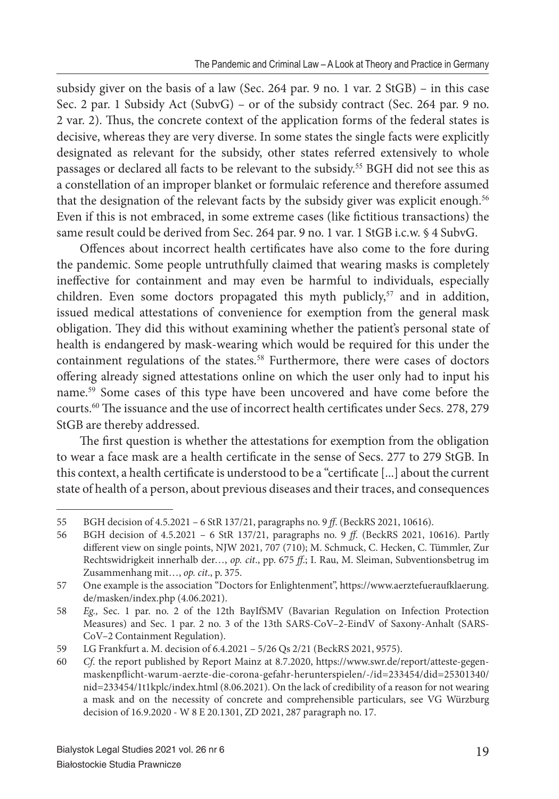subsidy giver on the basis of a law (Sec. 264 par. 9 no. 1 var. 2 StGB) – in this case Sec. 2 par. 1 Subsidy Act (SubvG) – or of the subsidy contract (Sec. 264 par. 9 no. 2 var. 2). Thus, the concrete context of the application forms of the federal states is decisive, whereas they are very diverse. In some states the single facts were explicitly designated as relevant for the subsidy, other states referred extensively to whole passages or declared all facts to be relevant to the subsidy.<sup>55</sup> BGH did not see this as a constellation of an improper blanket or formulaic reference and therefore assumed that the designation of the relevant facts by the subsidy giver was explicit enough.<sup>56</sup> Even if this is not embraced, in some extreme cases (like fictitious transactions) the same result could be derived from Sec. 264 par. 9 no. 1 var. 1 StGB i.c.w. § 4 SubvG.

Offences about incorrect health certificates have also come to the fore during the pandemic. Some people untruthfully claimed that wearing masks is completely ineffective for containment and may even be harmful to individuals, especially children. Even some doctors propagated this myth publicly, $57$  and in addition, issued medical attestations of convenience for exemption from the general mask obligation. They did this without examining whether the patient's personal state of health is endangered by mask-wearing which would be required for this under the containment regulations of the states.<sup>58</sup> Furthermore, there were cases of doctors offering already signed attestations online on which the user only had to input his name.<sup>59</sup> Some cases of this type have been uncovered and have come before the courts.<sup>60</sup> The issuance and the use of incorrect health certificates under Secs. 278, 279 StGB are thereby addressed.

The first question is whether the attestations for exemption from the obligation to wear a face mask are a health certificate in the sense of Secs. 277 to 279 StGB. In this context, a health certificate is understood to be a "certificate [...] about the current state of health of a person, about previous diseases and their traces, and consequences

<sup>55</sup> BGH decision of 4.5.2021 – 6 StR 137/21, paragraphs no. 9 *ff*. (BeckRS 2021, 10616).

<sup>56</sup> BGH decision of 4.5.2021 – 6 StR 137/21, paragraphs no. 9 *ff*. (BeckRS 2021, 10616). Partly different view on single points, NJW 2021, 707 (710); M. Schmuck, C. Hecken, C. Tümmler, Zur Rechtswidrigkeit innerhalb der…, *op. cit*., pp. 675 *ff*.; I. Rau, M. Sleiman, Subventionsbetrug im Zusammenhang mit…, *op. cit*., p. 375.

<sup>57</sup> One example is the association "Doctors for Enlightenment", https://www.aerztefueraufklaerung. de/masken/index.php (4.06.2021).

<sup>58</sup> *Eg.,* Sec. 1 par. no. 2 of the 12th BayIfSMV (Bavarian Regulation on Infection Protection Measures) and Sec. 1 par. 2 no. 3 of the 13th SARS-CoV–2-EindV of Saxony-Anhalt (SARS-CoV–2 Containment Regulation).

<sup>59</sup> LG Frankfurt a. M. decision of 6.4.2021 – 5/26 Qs 2/21 (BeckRS 2021, 9575).

<sup>60</sup> *Cf*. the report published by Report Mainz at 8.7.2020, https://www.swr.de/report/atteste-gegenmaskenpflicht-warum-aerzte-die-corona-gefahr-herunterspielen/-/id=233454/did=25301340/ nid=233454/1t1kplc/index.html (8.06.2021). On the lack of credibility of a reason for not wearing a mask and on the necessity of concrete and comprehensible particulars, see VG Würzburg decision of 16.9.2020 - W 8 E 20.1301, ZD 2021, 287 paragraph no. 17.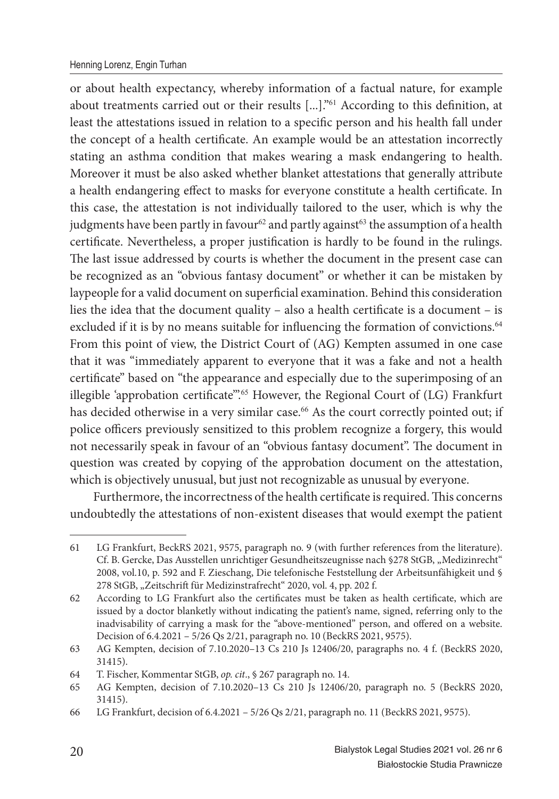#### Henning Lorenz, Engin Turhan

or about health expectancy, whereby information of a factual nature, for example about treatments carried out or their results [...]."<sup>61</sup> According to this definition, at least the attestations issued in relation to a specific person and his health fall under the concept of a health certificate. An example would be an attestation incorrectly stating an asthma condition that makes wearing a mask endangering to health. Moreover it must be also asked whether blanket attestations that generally attribute a health endangering effect to masks for everyone constitute a health certificate. In this case, the attestation is not individually tailored to the user, which is why the judgments have been partly in favour<sup>62</sup> and partly against<sup>63</sup> the assumption of a health certificate. Nevertheless, a proper justification is hardly to be found in the rulings. The last issue addressed by courts is whether the document in the present case can be recognized as an "obvious fantasy document" or whether it can be mistaken by laypeople for a valid document on superficial examination. Behind this consideration lies the idea that the document quality – also a health certificate is a document – is excluded if it is by no means suitable for influencing the formation of convictions.<sup>64</sup> From this point of view, the District Court of (AG) Kempten assumed in one case that it was "immediately apparent to everyone that it was a fake and not a health certificate" based on "the appearance and especially due to the superimposing of an illegible 'approbation certificate".<sup>65</sup> However, the Regional Court of (LG) Frankfurt has decided otherwise in a very similar case.<sup>66</sup> As the court correctly pointed out; if police officers previously sensitized to this problem recognize a forgery, this would not necessarily speak in favour of an "obvious fantasy document". The document in question was created by copying of the approbation document on the attestation, which is objectively unusual, but just not recognizable as unusual by everyone.

Furthermore, the incorrectness of the health certificate is required. This concerns undoubtedly the attestations of non-existent diseases that would exempt the patient

<sup>61</sup> LG Frankfurt, BeckRS 2021, 9575, paragraph no. 9 (with further references from the literature). Cf. B. Gercke, Das Ausstellen unrichtiger Gesundheitszeugnisse nach §278 StGB, "Medizinrecht" 2008, vol.10, p. 592 and F. Zieschang, Die telefonische Feststellung der Arbeitsunfähigkeit und § 278 StGB, "Zeitschrift für Medizinstrafrecht" 2020, vol. 4, pp. 202 f.

<sup>62</sup> According to LG Frankfurt also the certificates must be taken as health certificate, which are issued by a doctor blanketly without indicating the patient's name, signed, referring only to the inadvisability of carrying a mask for the "above-mentioned" person, and offered on a website. Decision of 6.4.2021 – 5/26 Qs 2/21, paragraph no. 10 (BeckRS 2021, 9575).

<sup>63</sup> AG Kempten, decision of 7.10.2020–13 Cs 210 Js 12406/20, paragraphs no. 4 f. (BeckRS 2020, 31415).

<sup>64</sup> T. Fischer, Kommentar StGB, *op. cit*., § 267 paragraph no. 14.

<sup>65</sup> AG Kempten, decision of 7.10.2020–13 Cs 210 Js 12406/20, paragraph no. 5 (BeckRS 2020, 31415).

<sup>66</sup> LG Frankfurt, decision of 6.4.2021 – 5/26 Qs 2/21, paragraph no. 11 (BeckRS 2021, 9575).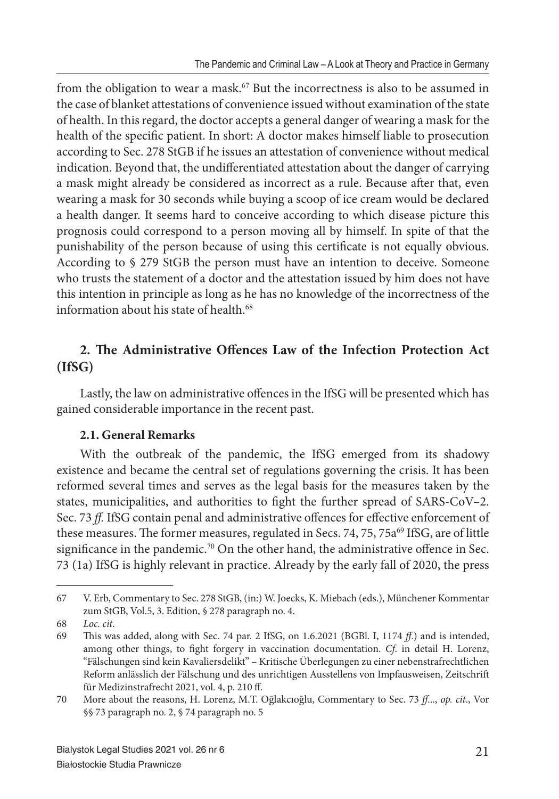from the obligation to wear a mask.<sup>67</sup> But the incorrectness is also to be assumed in the case of blanket attestations of convenience issued without examination of the state of health. In this regard, the doctor accepts a general danger of wearing a mask for the health of the specific patient. In short: A doctor makes himself liable to prosecution according to Sec. 278 StGB if he issues an attestation of convenience without medical indication. Beyond that, the undifferentiated attestation about the danger of carrying a mask might already be considered as incorrect as a rule. Because after that, even wearing a mask for 30 seconds while buying a scoop of ice cream would be declared a health danger. It seems hard to conceive according to which disease picture this prognosis could correspond to a person moving all by himself. In spite of that the punishability of the person because of using this certificate is not equally obvious. According to § 279 StGB the person must have an intention to deceive. Someone who trusts the statement of a doctor and the attestation issued by him does not have this intention in principle as long as he has no knowledge of the incorrectness of the information about his state of health.<sup>68</sup>

# 2. The Administrative Offences Law of the Infection Protection Act **(IfSG)**

Lastly, the law on administrative offences in the IfSG will be presented which has gained considerable importance in the recent past.

### **2.1. General Remarks**

With the outbreak of the pandemic, the IfSG emerged from its shadowy existence and became the central set of regulations governing the crisis. It has been reformed several times and serves as the legal basis for the measures taken by the states, municipalities, and authorities to fight the further spread of SARS-CoV-2. Sec. 73 ff. IfSG contain penal and administrative offences for effective enforcement of these measures. The former measures, regulated in Secs. 74, 75, 75a<sup>69</sup> IfSG, are of little significance in the pandemic.<sup>70</sup> On the other hand, the administrative offence in Sec. 73 (1a) IfSG is highly relevant in practice. Already by the early fall of 2020, the press

<sup>67</sup> V. Erb, Commentary to Sec. 278 StGB, (in:) W. Joecks, K. Miebach (eds.), Münchener Kommentar zum StGB, Vol.5, 3. Edition, § 278 paragraph no. 4.

<sup>68</sup> *Loc. cit*.

<sup>69</sup> Th is was added, along with Sec. 74 par. 2 IfSG, on 1.6.2021 (BGBl. I, 1174 *ff*.) and is intended, among other things, to fight forgery in vaccination documentation. *Cf.* in detail H. Lorenz, "Fälschungen sind kein Kavaliersdelikt" – Kritische Überlegungen zu einer nebenstrafrechtlichen Reform anlässlich der Fälschung und des unrichtigen Ausstellens von Impfausweisen, Zeitschrift für Medizinstrafrecht 2021, vol. 4, p. 210 ff.

<sup>70</sup> More about the reasons, H. Lorenz, M.T. Oğlakcıoğlu, Commentary to Sec. 73 *ff*..., *op. cit*., Vor §§ 73 paragraph no. 2, § 74 paragraph no. 5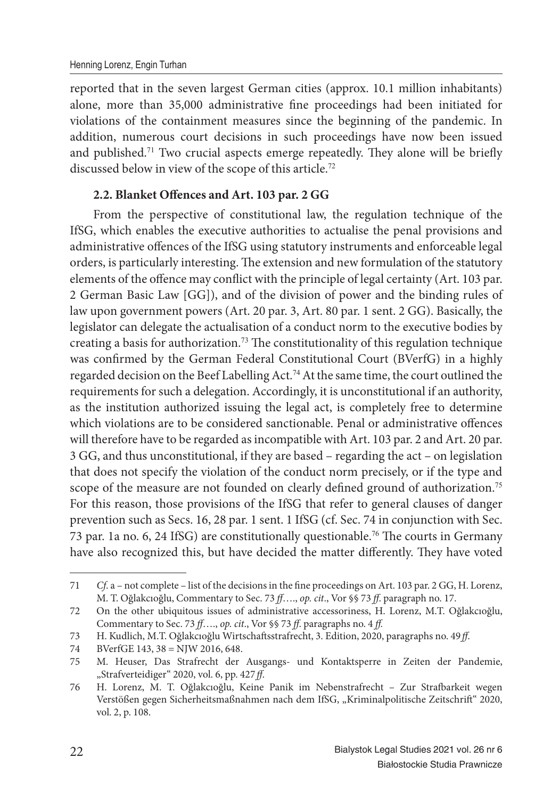reported that in the seven largest German cities (approx. 10.1 million inhabitants) alone, more than 35,000 administrative fine proceedings had been initiated for violations of the containment measures since the beginning of the pandemic. In addition, numerous court decisions in such proceedings have now been issued and published.<sup>71</sup> Two crucial aspects emerge repeatedly. They alone will be briefly discussed below in view of the scope of this article.<sup>72</sup>

#### 2.2. Blanket Offences and Art. 103 par. 2 GG

From the perspective of constitutional law, the regulation technique of the IfSG, which enables the executive authorities to actualise the penal provisions and administrative offences of the IfSG using statutory instruments and enforceable legal orders, is particularly interesting. The extension and new formulation of the statutory elements of the offence may conflict with the principle of legal certainty (Art. 103 par. 2 German Basic Law [GG]), and of the division of power and the binding rules of law upon government powers (Art. 20 par. 3, Art. 80 par. 1 sent. 2 GG). Basically, the legislator can delegate the actualisation of a conduct norm to the executive bodies by creating a basis for authorization.<sup>73</sup> The constitutionality of this regulation technique was confirmed by the German Federal Constitutional Court (BVerfG) in a highly regarded decision on the Beef Labelling Act.<sup>74</sup> At the same time, the court outlined the requirements for such a delegation. Accordingly, it is unconstitutional if an authority, as the institution authorized issuing the legal act, is completely free to determine which violations are to be considered sanctionable. Penal or administrative offences will therefore have to be regarded as incompatible with Art. 103 par. 2 and Art. 20 par. 3 GG, and thus unconstitutional, if they are based – regarding the act – on legislation that does not specify the violation of the conduct norm precisely, or if the type and scope of the measure are not founded on clearly defined ground of authorization.<sup>75</sup> For this reason, those provisions of the IfSG that refer to general clauses of danger prevention such as Secs. 16, 28 par. 1 sent. 1 IfSG (cf. Sec. 74 in conjunction with Sec. 73 par. 1a no. 6, 24 IfSG) are constitutionally questionable.<sup>76</sup> The courts in Germany have also recognized this, but have decided the matter differently. They have voted

<sup>71</sup> *Cf.* a – not complete – list of the decisions in the fine proceedings on Art. 103 par. 2 GG, H. Lorenz, M. T. Oğlakcıoğlu, Commentary to Sec. 73 *ff*…., *op. cit*., Vor §§ 73 *ff*. paragraph no. 17.

<sup>72</sup> On the other ubiquitous issues of administrative accessoriness, H. Lorenz, M.T. Oğlakcıoğlu, Commentary to Sec. 73 *ff*…., *op. cit*., Vor §§ 73 *ff*. paragraphs no. 4 *ff .*

<sup>73</sup> H. Kudlich, M.T. Oğlakcıoğlu Wirtschaft sstrafrecht, 3. Edition, 2020, paragraphs no. 49 *ff*.

<sup>74</sup> BVerfGE 143, 38 = NJW 2016, 648.

<sup>75</sup> M. Heuser, Das Strafrecht der Ausgangs- und Kontaktsperre in Zeiten der Pandemie, "Strafverteidiger" 2020, vol. 6, pp. 427 *ff*.

<sup>76</sup> H. Lorenz, M. T. Oğlakcıoğlu, Keine Panik im Nebenstrafrecht - Zur Strafbarkeit wegen Verstößen gegen Sicherheitsmaßnahmen nach dem IfSG, "Kriminalpolitische Zeitschrift" 2020, vol. 2, p. 108.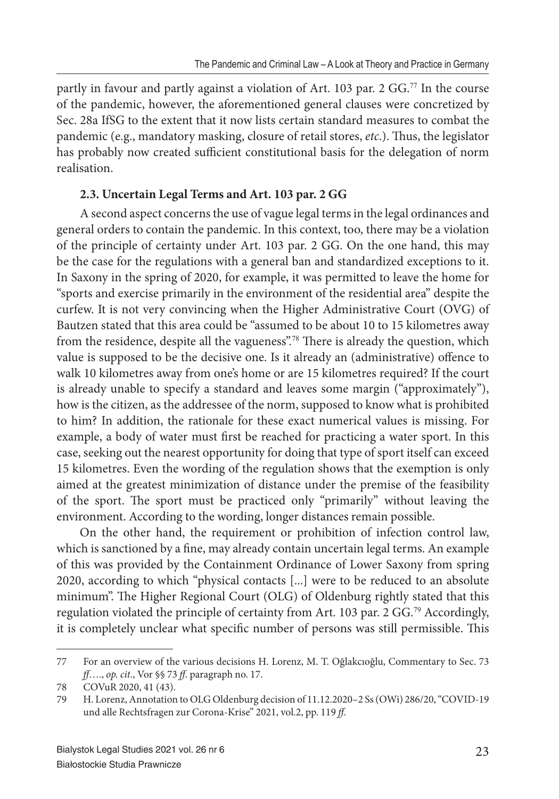partly in favour and partly against a violation of Art. 103 par. 2 GG.<sup>77</sup> In the course of the pandemic, however, the aforementioned general clauses were concretized by Sec. 28a IfSG to the extent that it now lists certain standard measures to combat the pandemic (e.g., mandatory masking, closure of retail stores, *etc.*). Thus, the legislator has probably now created sufficient constitutional basis for the delegation of norm realisation.

## **2.3. Uncertain Legal Terms and Art. 103 par. 2 GG**

A second aspect concerns the use of vague legal terms in the legal ordinances and general orders to contain the pandemic. In this context, too, there may be a violation of the principle of certainty under Art. 103 par. 2 GG. On the one hand, this may be the case for the regulations with a general ban and standardized exceptions to it. In Saxony in the spring of 2020, for example, it was permitted to leave the home for "sports and exercise primarily in the environment of the residential area" despite the curfew. It is not very convincing when the Higher Administrative Court (OVG) of Bautzen stated that this area could be "assumed to be about 10 to 15 kilometres away from the residence, despite all the vagueness".<sup>78</sup> There is already the question, which value is supposed to be the decisive one. Is it already an (administrative) offence to walk 10 kilometres away from one's home or are 15 kilometres required? If the court is already unable to specify a standard and leaves some margin ("approximately"), how is the citizen, as the addressee of the norm, supposed to know what is prohibited to him? In addition, the rationale for these exact numerical values is missing. For example, a body of water must first be reached for practicing a water sport. In this case, seeking out the nearest opportunity for doing that type of sport itself can exceed 15 kilometres. Even the wording of the regulation shows that the exemption is only aimed at the greatest minimization of distance under the premise of the feasibility of the sport. The sport must be practiced only "primarily" without leaving the environment. According to the wording, longer distances remain possible.

On the other hand, the requirement or prohibition of infection control law, which is sanctioned by a fine, may already contain uncertain legal terms. An example of this was provided by the Containment Ordinance of Lower Saxony from spring 2020, according to which "physical contacts [...] were to be reduced to an absolute minimum". The Higher Regional Court (OLG) of Oldenburg rightly stated that this regulation violated the principle of certainty from Art. 103 par. 2 GG.<sup>79</sup> Accordingly, it is completely unclear what specific number of persons was still permissible. This

<sup>77</sup> For an overview of the various decisions H. Lorenz, M. T. Oğlakcıoğlu, Commentary to Sec. 73 *ff*…., *op. cit*., Vor §§ 73 *ff*. paragraph no. 17.

<sup>78</sup> COVuR 2020, 41 (43).

<sup>79</sup> H. Lorenz, Annotation to OLG Oldenburg decision of 11.12.2020–2 Ss (OWi) 286/20, "COVID-19 und alle Rechtsfragen zur Corona-Krise" 2021, vol.2, pp. 119 *ff*.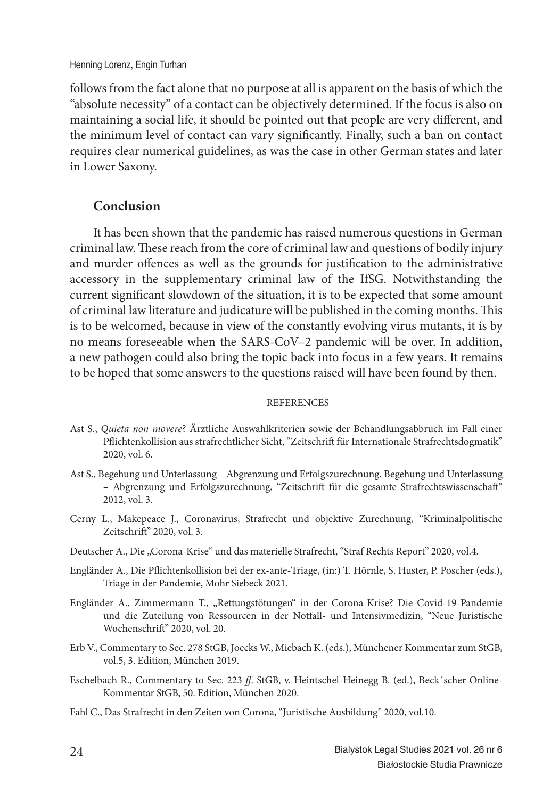follows from the fact alone that no purpose at all is apparent on the basis of which the "absolute necessity" of a contact can be objectively determined. If the focus is also on maintaining a social life, it should be pointed out that people are very different, and the minimum level of contact can vary significantly. Finally, such a ban on contact requires clear numerical guidelines, as was the case in other German states and later in Lower Saxony.

# **Conclusion**

It has been shown that the pandemic has raised numerous questions in German criminal law. These reach from the core of criminal law and questions of bodily injury and murder offences as well as the grounds for justification to the administrative accessory in the supplementary criminal law of the IfSG. Notwithstanding the current significant slowdown of the situation, it is to be expected that some amount of criminal law literature and judicature will be published in the coming months. This is to be welcomed, because in view of the constantly evolving virus mutants, it is by no means foreseeable when the SARS-CoV–2 pandemic will be over. In addition, a new pathogen could also bring the topic back into focus in a few years. It remains to be hoped that some answers to the questions raised will have been found by then.

#### **REFERENCES**

- Ast S., *Quieta non movere*? Ärztliche Auswahlkriterien sowie der Behandlungsabbruch im Fall einer Pflichtenkollision aus strafrechtlicher Sicht, "Zeitschrift für Internationale Strafrechtsdogmatik" 2020, vol. 6.
- Ast S., Begehung und Unterlassung Abgrenzung und Erfolgszurechnung. Begehung und Unterlassung – Abgrenzung und Erfolgszurechnung, "Zeitschrift für die gesamte Strafrechtswissenschaft " 2012, vol. 3.
- Cerny L., Makepeace J., Coronavirus, Strafrecht und objektive Zurechnung, "Kriminalpolitische Zeitschrift" 2020, vol. 3.
- Deutscher A., Die "Corona-Krise" und das materielle Strafrecht, "Straf Rechts Report" 2020, vol.4.
- Engländer A., Die Pflichtenkollision bei der ex-ante-Triage, (in:) T. Hörnle, S. Huster, P. Poscher (eds.), Triage in der Pandemie, Mohr Siebeck 2021.
- Engländer A., Zimmermann T., "Rettungstötungen" in der Corona-Krise? Die Covid-19-Pandemie und die Zuteilung von Ressourcen in der Notfall- und Intensivmedizin, "Neue Juristische Wochenschrift" 2020, vol. 20.
- Erb V., Commentary to Sec. 278 StGB, Joecks W., Miebach K. (eds.), Münchener Kommentar zum StGB, vol.5, 3. Edition, München 2019.
- Eschelbach R., Commentary to Sec. 223 *ff*. StGB, v. Heintschel-Heinegg B. (ed.), Beck´scher Online-Kommentar StGB, 50. Edition, München 2020.
- Fahl C., Das Strafrecht in den Zeiten von Corona, "Juristische Ausbildung" 2020, vol.10.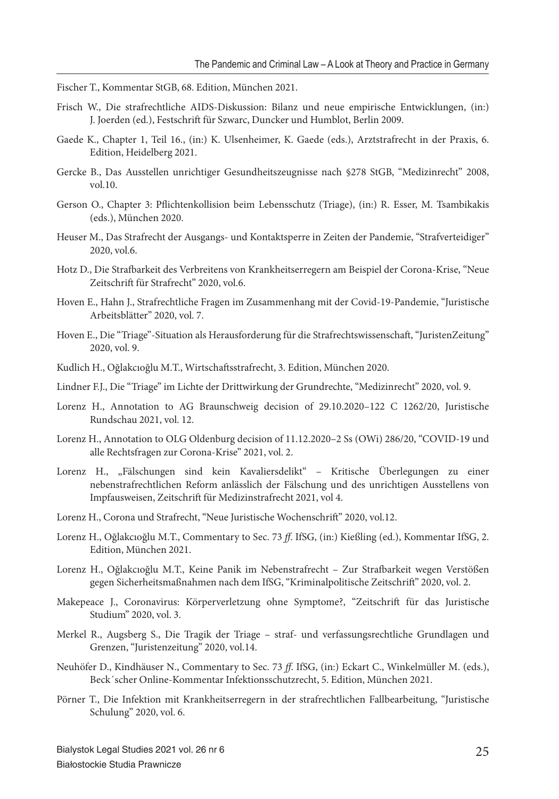Fischer T., Kommentar StGB, 68. Edition, München 2021.

- Frisch W., Die strafrechtliche AIDS-Diskussion: Bilanz und neue empirische Entwicklungen, (in:) J. Joerden (ed.), Festschrift für Szwarc, Duncker und Humblot, Berlin 2009.
- Gaede K., Chapter 1, Teil 16., (in:) K. Ulsenheimer, K. Gaede (eds.), Arztstrafrecht in der Praxis, 6. Edition, Heidelberg 2021.
- Gercke B., Das Ausstellen unrichtiger Gesundheitszeugnisse nach §278 StGB, "Medizinrecht" 2008, vol.10.
- Gerson O., Chapter 3: Pflichtenkollision beim Lebensschutz (Triage), (in:) R. Esser, M. Tsambikakis (eds.), München 2020.
- Heuser M., Das Strafrecht der Ausgangs- und Kontaktsperre in Zeiten der Pandemie, "Strafverteidiger" 2020, vol.6.
- Hotz D., Die Strafbarkeit des Verbreitens von Krankheitserregern am Beispiel der Corona-Krise, "Neue Zeitschrift für Strafrecht" 2020, vol.6.
- Hoven E., Hahn J., Strafrechtliche Fragen im Zusammenhang mit der Covid-19-Pandemie, "Juristische Arbeitsblätter" 2020, vol. 7.
- Hoven E., Die "Triage"-Situation als Herausforderung für die Strafrechtswissenschaft , "JuristenZeitung" 2020, vol. 9.
- Kudlich H., Oğlakcıoğlu M.T., Wirtschaftsstrafrecht, 3. Edition, München 2020.
- Lindner F.J., Die "Triage" im Lichte der Drittwirkung der Grundrechte, "Medizinrecht" 2020, vol. 9.
- Lorenz H., Annotation to AG Braunschweig decision of 29.10.2020–122 C 1262/20, Juristische Rundschau 2021, vol. 12.
- Lorenz H., Annotation to OLG Oldenburg decision of 11.12.2020–2 Ss (OWi) 286/20, "COVID-19 und alle Rechtsfragen zur Corona-Krise" 2021, vol. 2.
- Lorenz H., "Fälschungen sind kein Kavaliersdelikt" Kritische Überlegungen zu einer nebenstrafrechtlichen Reform anlässlich der Fälschung und des unrichtigen Ausstellens von Impfausweisen, Zeitschrift für Medizinstrafrecht 2021, vol 4.
- Lorenz H., Corona und Strafrecht, "Neue Juristische Wochenschrift" 2020, vol.12.
- Lorenz H., Oğlakcıoğlu M.T., Commentary to Sec. 73 *ff*. IfSG, (in:) Kießling (ed.), Kommentar IfSG, 2. Edition, München 2021.
- Lorenz H., Oğlakcıoğlu M.T., Keine Panik im Nebenstrafrecht Zur Strafbarkeit wegen Verstößen gegen Sicherheitsmaßnahmen nach dem IfSG, "Kriminalpolitische Zeitschrift" 2020, vol. 2.
- Makepeace J., Coronavirus: Körperverletzung ohne Symptome?, "Zeitschrift für das Juristische Studium" 2020, vol. 3.
- Merkel R., Augsberg S., Die Tragik der Triage straf- und verfassungsrechtliche Grundlagen und Grenzen, "Juristenzeitung" 2020, vol.14.
- Neuhöfer D., Kindhäuser N., Commentary to Sec. 73 *ff*. IfSG, (in:) Eckart C., Winkelmüller M. (eds.), Beck´scher Online-Kommentar Infektionsschutzrecht, 5. Edition, München 2021.
- Pörner T., Die Infektion mit Krankheitserregern in der strafrechtlichen Fallbearbeitung, "Juristische Schulung" 2020, vol. 6.